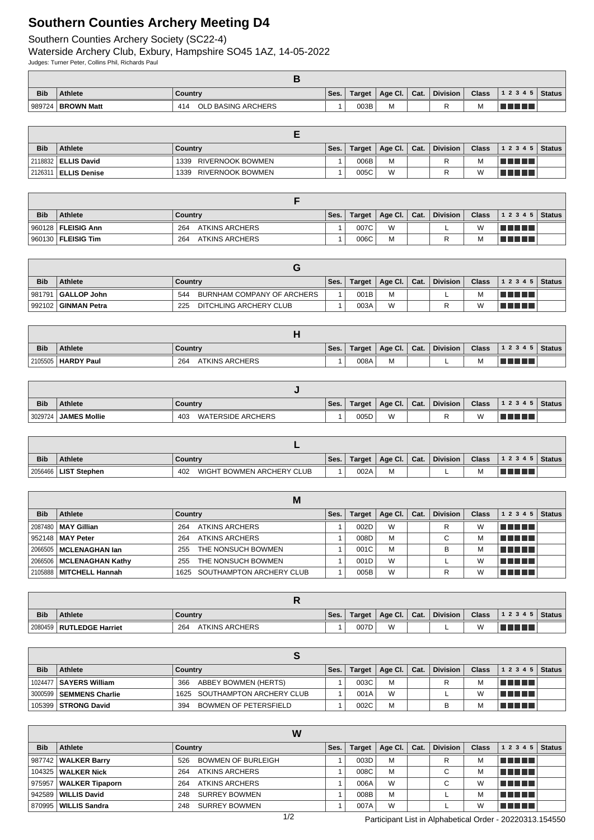## **Southern Counties Archery Meeting D4**

## Southern Counties Archery Society (SC22-4)

Waterside Archery Club, Exbury, Hampshire SO45 1AZ, 14-05-2022

Judges: Turner Peter, Collins Phil, Richards Paul

| <b>Bib</b> | <b>Athlete</b>             | Country                          | Ses. | Target | Age CI. | Cat. | <b>Division</b> | <b>Class</b> | 12345 | <b>Status</b> |
|------------|----------------------------|----------------------------------|------|--------|---------|------|-----------------|--------------|-------|---------------|
|            | 989724   <b>BROWN Matt</b> | <b>OLD BASING ARCHERS</b><br>414 |      | 003B   | M       |      |                 | M            |       |               |

| <b>Bib</b> | <b>Athlete</b>        | Country                  | Ses. | Target | $\Box$ Age Cl. $\Box$ Cat. |  | <b>Division</b> | <b>Class</b> | $12345$ Status |  |  |
|------------|-----------------------|--------------------------|------|--------|----------------------------|--|-----------------|--------------|----------------|--|--|
|            | 2118832   ELLIS David | RIVERNOOK BOWMEN<br>1339 |      | 006B   | M                          |  | -               | M            | T FI FI FI FI  |  |  |
| 2126311    | I ELLIS Denise        | RIVERNOOK BOWMEN<br>1339 |      | 005C   | W                          |  |                 | W            | T FI FI FI FI  |  |  |

| <b>Bib</b> | <b>Athlete</b>            | Country               | Ses. | Target $\vert$ | $ $ Age Cl. $ $ Cat. |  | <b>Division</b> | <b>Class</b> | $12345$ Status |  |
|------------|---------------------------|-----------------------|------|----------------|----------------------|--|-----------------|--------------|----------------|--|
|            | 960128   FLEISIG Ann      | 264<br>ATKINS ARCHERS |      | 007C           | W                    |  |                 | W            | TE E E E       |  |
|            | 960130 <b>FLEISIG Tim</b> | ATKINS ARCHERS<br>264 |      | 006C           | M                    |  |                 | M            | TI TITLET      |  |

| <b>Bib</b> | <b>Athlete</b>        | Country                           | Ses. | Target | Age Cl. $ $ | Cat. | <b>Division</b> | <b>Class</b> | $12345$ Status            |  |
|------------|-----------------------|-----------------------------------|------|--------|-------------|------|-----------------|--------------|---------------------------|--|
|            | 981791   GALLOP John  | BURNHAM COMPANY OF ARCHERS<br>544 |      | 001B   | M           |      |                 | M            | T FI FI FI FI             |  |
|            | 992102   GINMAN Petra | DITCHLING ARCHERY CLUB<br>225     |      | 003A   | W           |      |                 | W            | a propinsi Kabupatén Band |  |

| <b>Bib</b> | <b>Athlete</b>       | Country                      | Ses. | Target | Age Cl. | Cat. | <b>Division</b> | <b>Class</b> | 1 2 3 4 5   Status |  |
|------------|----------------------|------------------------------|------|--------|---------|------|-----------------|--------------|--------------------|--|
|            | 2105505   HARDY Paul | <b>ATKINS ARCHERS</b><br>264 |      | 008A   | M       |      |                 | ΙVΙ          |                    |  |

| <b>Bib</b> | Athlete             | Country                  | Ses. | Target | Age CI.      | Cat. | <b>Division</b> | <b>Class</b> | 12345    | <b>Status</b> |
|------------|---------------------|--------------------------|------|--------|--------------|------|-----------------|--------------|----------|---------------|
| 3029724    | <b>JAMES Mollie</b> | WATERSIDE ARCHERS<br>403 |      | 005D   | $\mathbf{M}$ |      |                 | W            | TI TITLE |               |

| <b>Bib</b> | <b>Athlete</b>         | Country                          | Ses. | Target | Age Cl. | ∣ Cat. | <b>Division</b> | <b>Class</b> | 1 2 3 4 5   Status |  |
|------------|------------------------|----------------------------------|------|--------|---------|--------|-----------------|--------------|--------------------|--|
|            | 2056466   LIST Stephen | WIGHT BOWMEN ARCHERY CLUB<br>402 |      | 002A   | M       |        |                 | ΙVΙ          |                    |  |

|            | М                          |                               |      |               |         |      |                 |              |              |               |  |
|------------|----------------------------|-------------------------------|------|---------------|---------|------|-----------------|--------------|--------------|---------------|--|
| <b>Bib</b> | <b>Athlete</b>             | Country                       | Ses. | <b>Target</b> | Age Cl. | Cat. | <b>Division</b> | <b>Class</b> | 1 2 3 4 5    | <b>Status</b> |  |
|            | 2087480   MAY Gillian      | ATKINS ARCHERS<br>264         |      | 002D          | W       |      | R               | W            | T FI FI FI   |               |  |
|            | 952148 <b>  MAY Peter</b>  | ATKINS ARCHERS<br>264         |      | 008D          | М       |      | $\sim$<br>◡     | M            | TE ELE       |               |  |
|            | 2066505   MCLENAGHAN Ian   | THE NONSUCH BOWMEN<br>255     |      | 001C          | M       |      | В               | M            | TELET        |               |  |
|            | 2066506   MCLENAGHAN Kathy | THE NONSUCH BOWMEN<br>255     |      | 001D          | W       |      |                 | W            | TE ELET      |               |  |
|            | 2105888   MITCHELL Hannah  | 1625 SOUTHAMPTON ARCHERY CLUB |      | 005B          | W       |      | R               | W            | TE ELECTRICI |               |  |

| <b>Bib</b> | <b>Athlete</b>             | Country               | Ses. | <b>Target</b> | Age Cl. | Cat. | <b>Division</b> | <b>Class</b>  | 12345 | Status I |
|------------|----------------------------|-----------------------|------|---------------|---------|------|-----------------|---------------|-------|----------|
|            | 2080459   RUTLEDGE Harriet | ATKINS ARCHERS<br>264 |      | 007D          | W       |      | -               | $\mathcal{M}$ |       |          |

| <b>Bib</b> | <b>Athlete</b>           | Country                       | Ses. | Target | Age Cl. $ $ | Cat. | <b>Division</b> | <b>Class</b> | $ 12345 $ Status |  |  |  |
|------------|--------------------------|-------------------------------|------|--------|-------------|------|-----------------|--------------|------------------|--|--|--|
|            | 1024477   SAYERS William | 366<br>ABBEY BOWMEN (HERTS)   |      | 003C   | M           |      |                 |              | n di Ting        |  |  |  |
|            | 3000599 SEMMENS Charlie  | 1625 SOUTHAMPTON ARCHERY CLUB |      | 001A   | W           |      |                 | W            | T FIFIT T        |  |  |  |
|            | 105399   STRONG David    | BOWMEN OF PETERSFIELD<br>394  |      | 002C   | M           |      |                 | M            | T FIFTI T        |  |  |  |

|            | W                        |                                  |      |               |         |      |                 |              |           |               |  |
|------------|--------------------------|----------------------------------|------|---------------|---------|------|-----------------|--------------|-----------|---------------|--|
| <b>Bib</b> | <b>Athlete</b>           | Country                          | Ses. | <b>Target</b> | Age Cl. | Cat. | <b>Division</b> | <b>Class</b> | 12345     | <b>Status</b> |  |
|            | 987742   WALKER Barry    | <b>BOWMEN OF BURLEIGH</b><br>526 |      | 003D          | M       |      | R               | M            | n din bir |               |  |
|            | 104325   WALKER Nick     | <b>ATKINS ARCHERS</b><br>264     |      | 008C          | M       |      | $\sim$<br>U     | M            | n din bir |               |  |
|            | 975957   WALKER Tipaporn | ATKINS ARCHERS<br>264            |      | 006A          | W       |      | $\sim$<br>U     | W            | n din bir |               |  |
|            | 942589   WILLIS David    | <b>SURREY BOWMEN</b><br>248      |      | 008B          | M       |      |                 | M            | TELEL     |               |  |
|            | 870995   WILLIS Sandra   | <b>SURREY BOWMEN</b><br>248      |      | 007A          | W       |      |                 | W            | TE ELET   |               |  |